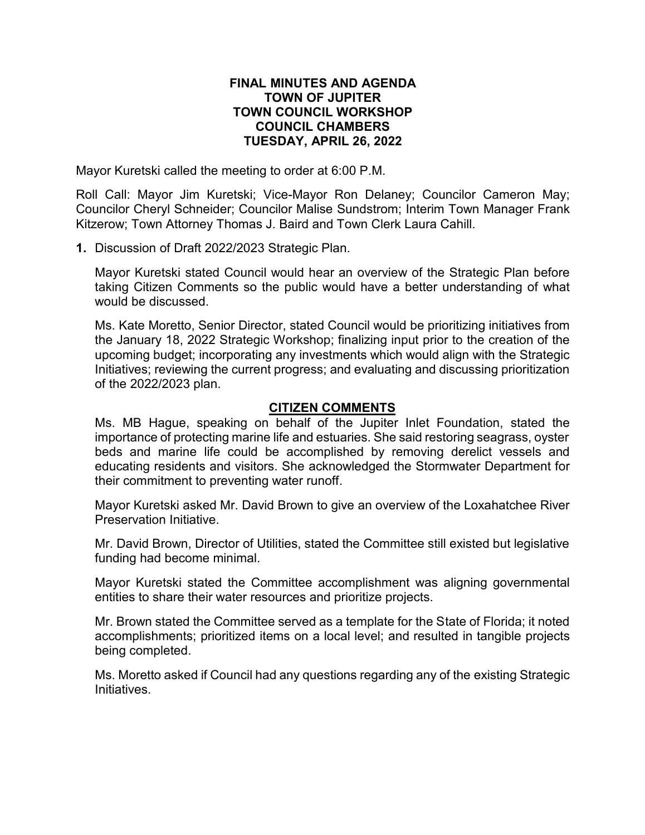## **FINAL MINUTES AND AGENDA TOWN OF JUPITER TOWN COUNCIL WORKSHOP COUNCIL CHAMBERS TUESDAY, APRIL 26, 2022**

Mayor Kuretski called the meeting to order at 6:00 P.M.

Roll Call: Mayor Jim Kuretski; Vice-Mayor Ron Delaney; Councilor Cameron May; Councilor Cheryl Schneider; Councilor Malise Sundstrom; Interim Town Manager Frank Kitzerow; Town Attorney Thomas J. Baird and Town Clerk Laura Cahill.

**1.** Discussion of Draft 2022/2023 Strategic Plan.

Mayor Kuretski stated Council would hear an overview of the Strategic Plan before taking Citizen Comments so the public would have a better understanding of what would be discussed.

Ms. Kate Moretto, Senior Director, stated Council would be prioritizing initiatives from the January 18, 2022 Strategic Workshop; finalizing input prior to the creation of the upcoming budget; incorporating any investments which would align with the Strategic Initiatives; reviewing the current progress; and evaluating and discussing prioritization of the 2022/2023 plan.

## **CITIZEN COMMENTS**

Ms. MB Hague, speaking on behalf of the Jupiter Inlet Foundation, stated the importance of protecting marine life and estuaries. She said restoring seagrass, oyster beds and marine life could be accomplished by removing derelict vessels and educating residents and visitors. She acknowledged the Stormwater Department for their commitment to preventing water runoff.

Mayor Kuretski asked Mr. David Brown to give an overview of the Loxahatchee River Preservation Initiative.

Mr. David Brown, Director of Utilities, stated the Committee still existed but legislative funding had become minimal.

Mayor Kuretski stated the Committee accomplishment was aligning governmental entities to share their water resources and prioritize projects.

Mr. Brown stated the Committee served as a template for the State of Florida; it noted accomplishments; prioritized items on a local level; and resulted in tangible projects being completed.

Ms. Moretto asked if Council had any questions regarding any of the existing Strategic Initiatives.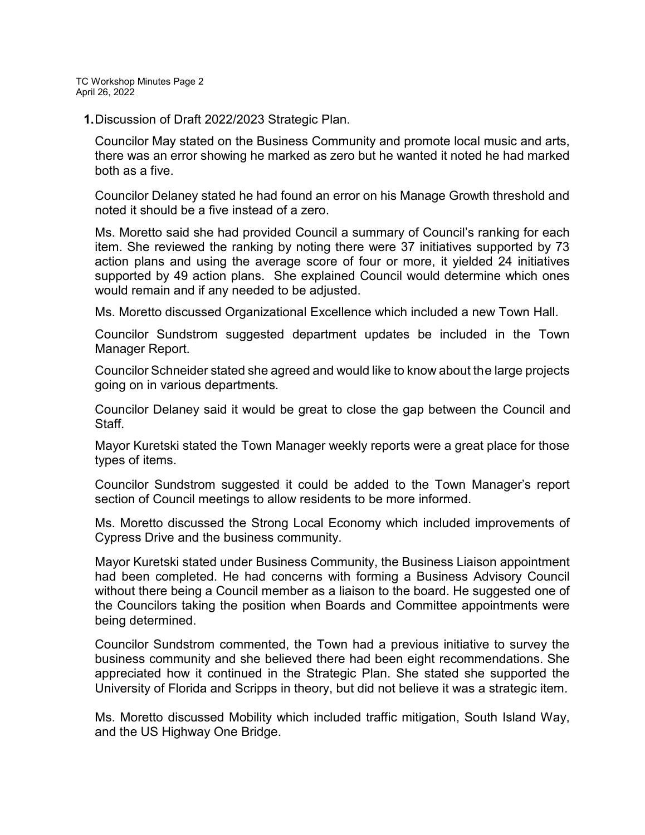TC Workshop Minutes Page 2 April 26, 2022

**1.**Discussion of Draft 2022/2023 Strategic Plan.

Councilor May stated on the Business Community and promote local music and arts, there was an error showing he marked as zero but he wanted it noted he had marked both as a five.

Councilor Delaney stated he had found an error on his Manage Growth threshold and noted it should be a five instead of a zero.

Ms. Moretto said she had provided Council a summary of Council's ranking for each item. She reviewed the ranking by noting there were 37 initiatives supported by 73 action plans and using the average score of four or more, it yielded 24 initiatives supported by 49 action plans. She explained Council would determine which ones would remain and if any needed to be adjusted.

Ms. Moretto discussed Organizational Excellence which included a new Town Hall.

Councilor Sundstrom suggested department updates be included in the Town Manager Report.

Councilor Schneider stated she agreed and would like to know about the large projects going on in various departments.

Councilor Delaney said it would be great to close the gap between the Council and Staff.

Mayor Kuretski stated the Town Manager weekly reports were a great place for those types of items.

Councilor Sundstrom suggested it could be added to the Town Manager's report section of Council meetings to allow residents to be more informed.

Ms. Moretto discussed the Strong Local Economy which included improvements of Cypress Drive and the business community.

Mayor Kuretski stated under Business Community, the Business Liaison appointment had been completed. He had concerns with forming a Business Advisory Council without there being a Council member as a liaison to the board. He suggested one of the Councilors taking the position when Boards and Committee appointments were being determined.

Councilor Sundstrom commented, the Town had a previous initiative to survey the business community and she believed there had been eight recommendations. She appreciated how it continued in the Strategic Plan. She stated she supported the University of Florida and Scripps in theory, but did not believe it was a strategic item.

Ms. Moretto discussed Mobility which included traffic mitigation, South Island Way, and the US Highway One Bridge.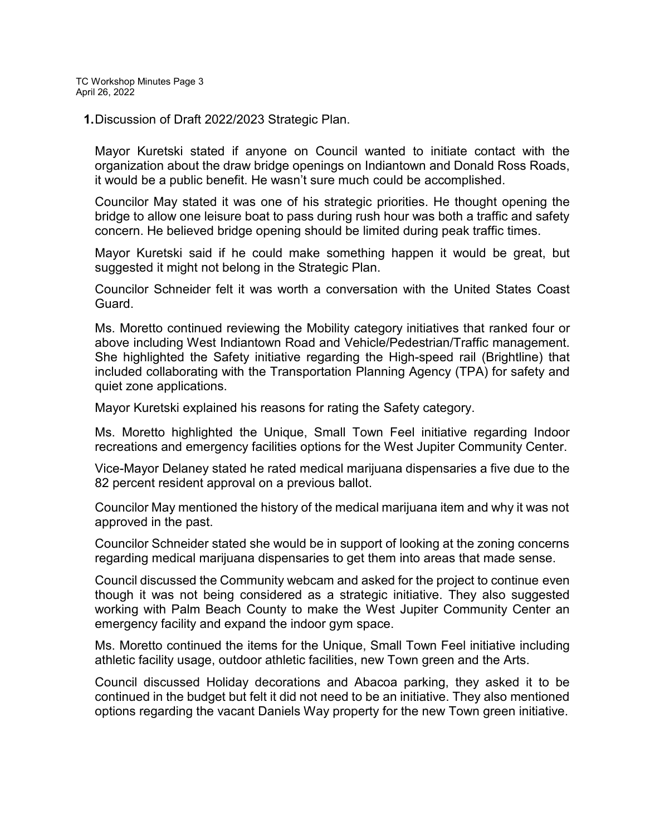**1.**Discussion of Draft 2022/2023 Strategic Plan.

Mayor Kuretski stated if anyone on Council wanted to initiate contact with the organization about the draw bridge openings on Indiantown and Donald Ross Roads, it would be a public benefit. He wasn't sure much could be accomplished.

Councilor May stated it was one of his strategic priorities. He thought opening the bridge to allow one leisure boat to pass during rush hour was both a traffic and safety concern. He believed bridge opening should be limited during peak traffic times.

Mayor Kuretski said if he could make something happen it would be great, but suggested it might not belong in the Strategic Plan.

Councilor Schneider felt it was worth a conversation with the United States Coast Guard.

Ms. Moretto continued reviewing the Mobility category initiatives that ranked four or above including West Indiantown Road and Vehicle/Pedestrian/Traffic management. She highlighted the Safety initiative regarding the High-speed rail (Brightline) that included collaborating with the Transportation Planning Agency (TPA) for safety and quiet zone applications.

Mayor Kuretski explained his reasons for rating the Safety category.

Ms. Moretto highlighted the Unique, Small Town Feel initiative regarding Indoor recreations and emergency facilities options for the West Jupiter Community Center.

Vice-Mayor Delaney stated he rated medical marijuana dispensaries a five due to the 82 percent resident approval on a previous ballot.

Councilor May mentioned the history of the medical marijuana item and why it was not approved in the past.

Councilor Schneider stated she would be in support of looking at the zoning concerns regarding medical marijuana dispensaries to get them into areas that made sense.

Council discussed the Community webcam and asked for the project to continue even though it was not being considered as a strategic initiative. They also suggested working with Palm Beach County to make the West Jupiter Community Center an emergency facility and expand the indoor gym space.

Ms. Moretto continued the items for the Unique, Small Town Feel initiative including athletic facility usage, outdoor athletic facilities, new Town green and the Arts.

Council discussed Holiday decorations and Abacoa parking, they asked it to be continued in the budget but felt it did not need to be an initiative. They also mentioned options regarding the vacant Daniels Way property for the new Town green initiative.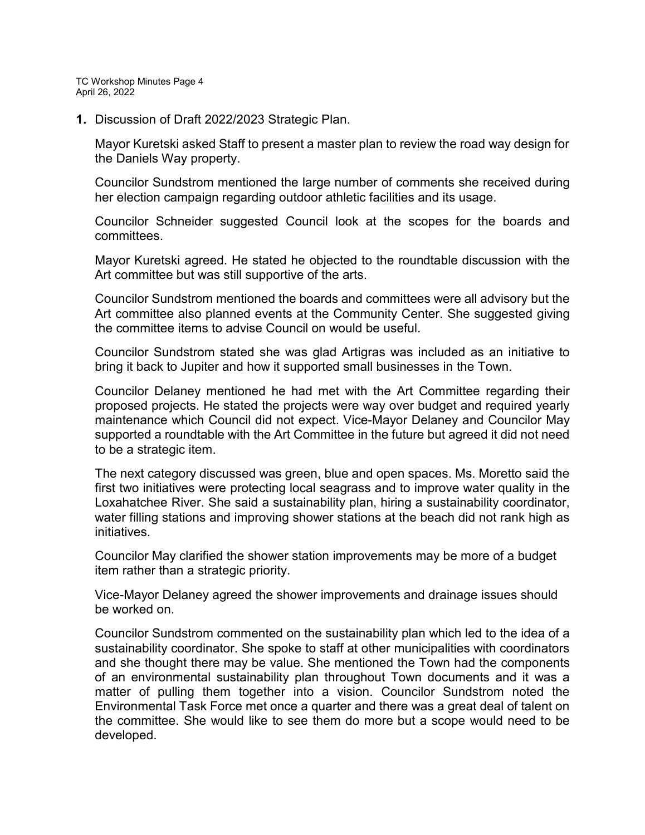TC Workshop Minutes Page 4 April 26, 2022

**1.** Discussion of Draft 2022/2023 Strategic Plan.

Mayor Kuretski asked Staff to present a master plan to review the road way design for the Daniels Way property.

Councilor Sundstrom mentioned the large number of comments she received during her election campaign regarding outdoor athletic facilities and its usage.

Councilor Schneider suggested Council look at the scopes for the boards and committees.

Mayor Kuretski agreed. He stated he objected to the roundtable discussion with the Art committee but was still supportive of the arts.

Councilor Sundstrom mentioned the boards and committees were all advisory but the Art committee also planned events at the Community Center. She suggested giving the committee items to advise Council on would be useful.

Councilor Sundstrom stated she was glad Artigras was included as an initiative to bring it back to Jupiter and how it supported small businesses in the Town.

Councilor Delaney mentioned he had met with the Art Committee regarding their proposed projects. He stated the projects were way over budget and required yearly maintenance which Council did not expect. Vice-Mayor Delaney and Councilor May supported a roundtable with the Art Committee in the future but agreed it did not need to be a strategic item.

The next category discussed was green, blue and open spaces. Ms. Moretto said the first two initiatives were protecting local seagrass and to improve water quality in the Loxahatchee River. She said a sustainability plan, hiring a sustainability coordinator, water filling stations and improving shower stations at the beach did not rank high as initiatives.

Councilor May clarified the shower station improvements may be more of a budget item rather than a strategic priority.

Vice-Mayor Delaney agreed the shower improvements and drainage issues should be worked on.

Councilor Sundstrom commented on the sustainability plan which led to the idea of a sustainability coordinator. She spoke to staff at other municipalities with coordinators and she thought there may be value. She mentioned the Town had the components of an environmental sustainability plan throughout Town documents and it was a matter of pulling them together into a vision. Councilor Sundstrom noted the Environmental Task Force met once a quarter and there was a great deal of talent on the committee. She would like to see them do more but a scope would need to be developed.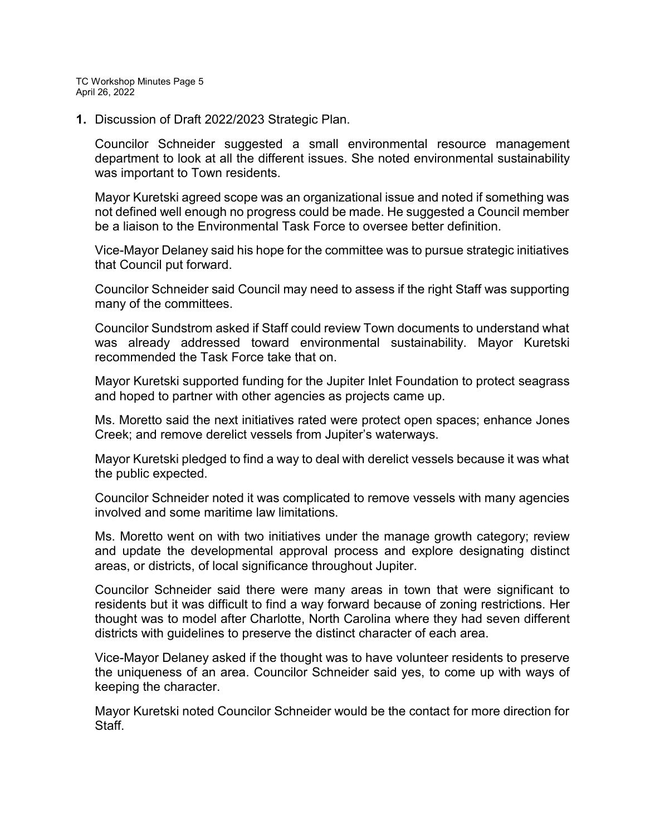TC Workshop Minutes Page 5 April 26, 2022

**1.** Discussion of Draft 2022/2023 Strategic Plan.

Councilor Schneider suggested a small environmental resource management department to look at all the different issues. She noted environmental sustainability was important to Town residents.

Mayor Kuretski agreed scope was an organizational issue and noted if something was not defined well enough no progress could be made. He suggested a Council member be a liaison to the Environmental Task Force to oversee better definition.

Vice-Mayor Delaney said his hope for the committee was to pursue strategic initiatives that Council put forward.

Councilor Schneider said Council may need to assess if the right Staff was supporting many of the committees.

Councilor Sundstrom asked if Staff could review Town documents to understand what was already addressed toward environmental sustainability. Mayor Kuretski recommended the Task Force take that on.

Mayor Kuretski supported funding for the Jupiter Inlet Foundation to protect seagrass and hoped to partner with other agencies as projects came up.

Ms. Moretto said the next initiatives rated were protect open spaces; enhance Jones Creek; and remove derelict vessels from Jupiter's waterways.

Mayor Kuretski pledged to find a way to deal with derelict vessels because it was what the public expected.

Councilor Schneider noted it was complicated to remove vessels with many agencies involved and some maritime law limitations.

Ms. Moretto went on with two initiatives under the manage growth category; review and update the developmental approval process and explore designating distinct areas, or districts, of local significance throughout Jupiter.

Councilor Schneider said there were many areas in town that were significant to residents but it was difficult to find a way forward because of zoning restrictions. Her thought was to model after Charlotte, North Carolina where they had seven different districts with guidelines to preserve the distinct character of each area.

Vice-Mayor Delaney asked if the thought was to have volunteer residents to preserve the uniqueness of an area. Councilor Schneider said yes, to come up with ways of keeping the character.

Mayor Kuretski noted Councilor Schneider would be the contact for more direction for **Staff**